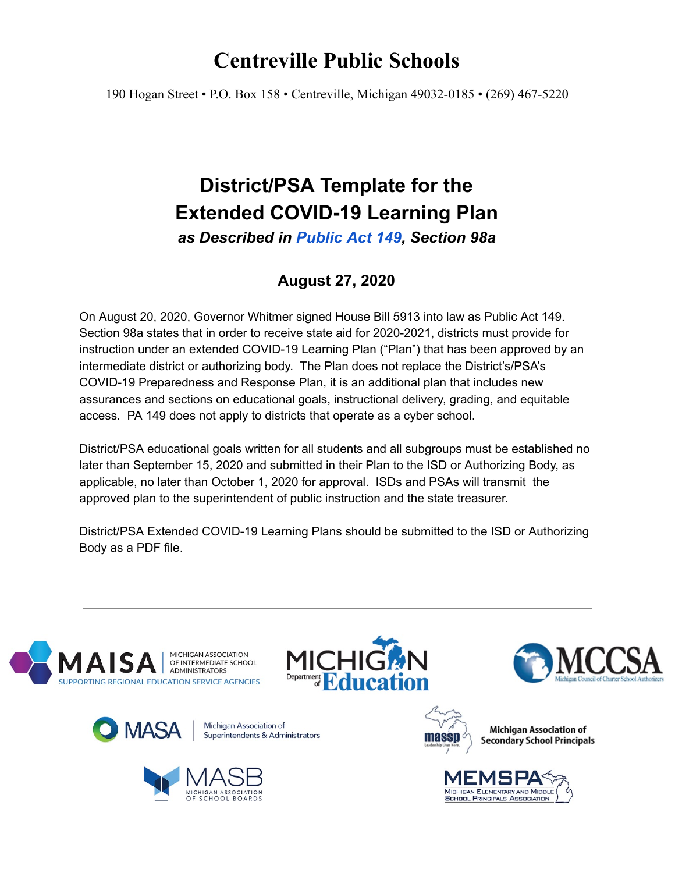# **Centreville Public Schools**

190 Hogan Street • P.O. Box 158 • Centreville, Michigan 49032-0185 • (269) 467-5220

# **District/PSA Template for the Extended COVID-19 Learning Plan**

*as Described in [Public](https://drive.google.com/file/d/1EwUD2q7H_56TE4pDk3X8QNSc4fIUF-M2/view?usp=sharing) Act 149, Section 98a*

## **August 27, 2020**

On August 20, 2020, Governor Whitmer signed House Bill 5913 into law as Public Act 149. Section 98a states that in order to receive state aid for 2020-2021, districts must provide for instruction under an extended COVID-19 Learning Plan ("Plan") that has been approved by an intermediate district or authorizing body. The Plan does not replace the District's/PSA's COVID-19 Preparedness and Response Plan, it is an additional plan that includes new assurances and sections on educational goals, instructional delivery, grading, and equitable access. PA 149 does not apply to districts that operate as a cyber school.

District/PSA educational goals written for all students and all subgroups must be established no later than September 15, 2020 and submitted in their Plan to the ISD or Authorizing Body, as applicable, no later than October 1, 2020 for approval. ISDs and PSAs will transmit the approved plan to the superintendent of public instruction and the state treasurer.

District/PSA Extended COVID-19 Learning Plans should be submitted to the ISD or Authorizing Body as a PDF file.













**Michigan Association of Secondary School Principals** 

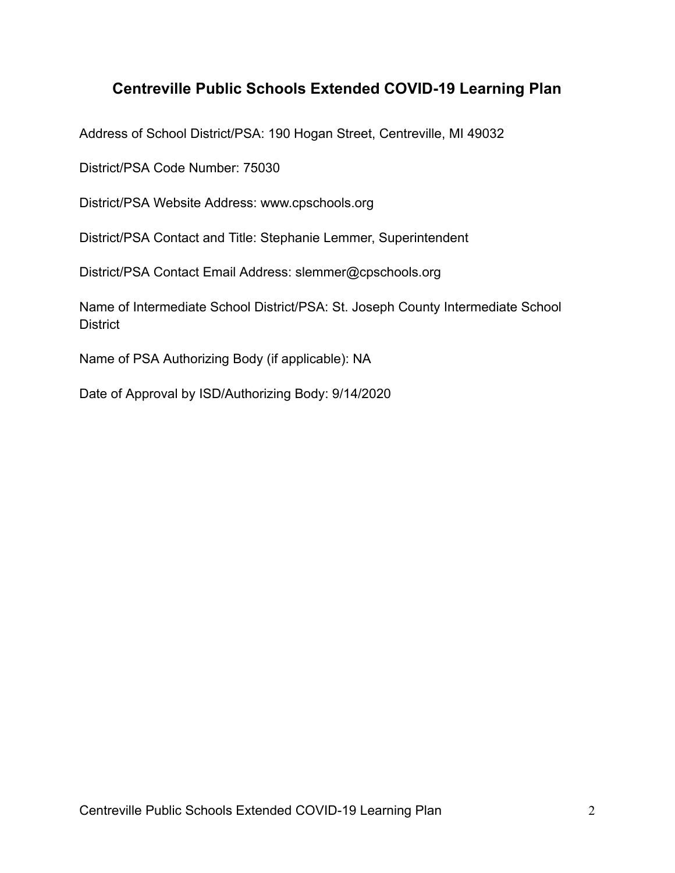## **Centreville Public Schools Extended COVID-19 Learning Plan**

Address of School District/PSA: 190 Hogan Street, Centreville, MI 49032

District/PSA Code Number: 75030

District/PSA Website Address: www.cpschools.org

District/PSA Contact and Title: Stephanie Lemmer, Superintendent

District/PSA Contact Email Address: slemmer@cpschools.org

Name of Intermediate School District/PSA: St. Joseph County Intermediate School **District** 

Name of PSA Authorizing Body (if applicable): NA

Date of Approval by ISD/Authorizing Body: 9/14/2020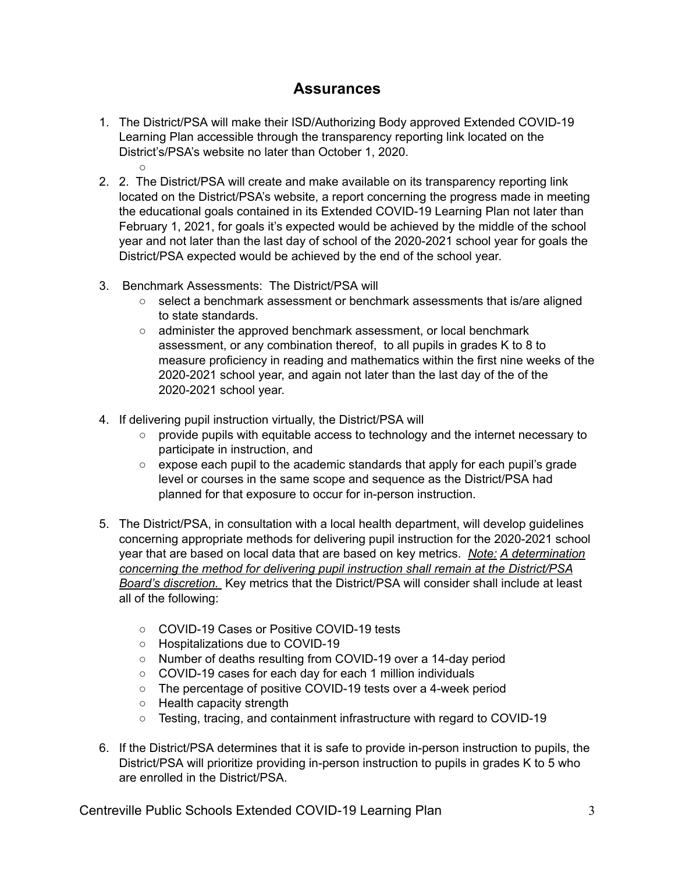### **Assurances**

- 1. The District/PSA will make their ISD/Authorizing Body approved Extended COVID-19 Learning Plan accessible through the transparency reporting link located on the District's/PSA's website no later than October 1, 2020.  $\circ$
- 2. 2. The District/PSA will create and make available on its transparency reporting link located on the District/PSA's website, a report concerning the progress made in meeting the educational goals contained in its Extended COVID-19 Learning Plan not later than February 1, 2021, for goals it's expected would be achieved by the middle of the school year and not later than the last day of school of the 2020-2021 school year for goals the District/PSA expected would be achieved by the end of the school year.
- 3. Benchmark Assessments: The District/PSA will
	- select a benchmark assessment or benchmark assessments that is/are aligned to state standards.
	- administer the approved benchmark assessment, or local benchmark assessment, or any combination thereof, to all pupils in grades K to 8 to measure proficiency in reading and mathematics within the first nine weeks of the 2020-2021 school year, and again not later than the last day of the of the 2020-2021 school year.
- 4. If delivering pupil instruction virtually, the District/PSA will
	- provide pupils with equitable access to technology and the internet necessary to participate in instruction, and
	- $\circ$  expose each pupil to the academic standards that apply for each pupil's grade level or courses in the same scope and sequence as the District/PSA had planned for that exposure to occur for in-person instruction.
- 5. The District/PSA, in consultation with a local health department, will develop guidelines concerning appropriate methods for delivering pupil instruction for the 2020-2021 school year that are based on local data that are based on key metrics. *Note: A determination concerning the method for delivering pupil instruction shall remain at the District/PSA Board's discretion.* Key metrics that the District/PSA will consider shall include at least all of the following:
	- COVID-19 Cases or Positive COVID-19 tests
	- Hospitalizations due to COVID-19
	- Number of deaths resulting from COVID-19 over a 14-day period
	- COVID-19 cases for each day for each 1 million individuals
	- The percentage of positive COVID-19 tests over a 4-week period
	- Health capacity strength
	- Testing, tracing, and containment infrastructure with regard to COVID-19
- 6. If the District/PSA determines that it is safe to provide in-person instruction to pupils, the District/PSA will prioritize providing in-person instruction to pupils in grades K to 5 who are enrolled in the District/PSA.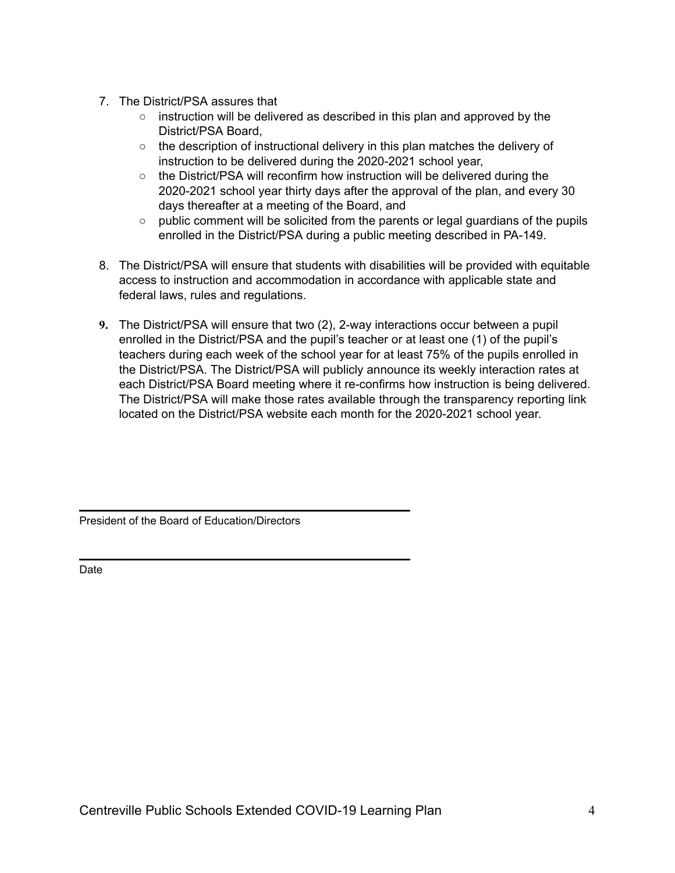- 7. The District/PSA assures that
	- instruction will be delivered as described in this plan and approved by the District/PSA Board,
	- $\circ$  the description of instructional delivery in this plan matches the delivery of instruction to be delivered during the 2020-2021 school year,
	- the District/PSA will reconfirm how instruction will be delivered during the 2020-2021 school year thirty days after the approval of the plan, and every 30 days thereafter at a meeting of the Board, and
	- $\circ$  public comment will be solicited from the parents or legal guardians of the pupils enrolled in the District/PSA during a public meeting described in PA-149.
- 8. The District/PSA will ensure that students with disabilities will be provided with equitable access to instruction and accommodation in accordance with applicable state and federal laws, rules and regulations.
- **9.** The District/PSA will ensure that two (2), 2-way interactions occur between a pupil enrolled in the District/PSA and the pupil's teacher or at least one (1) of the pupil's teachers during each week of the school year for at least 75% of the pupils enrolled in the District/PSA. The District/PSA will publicly announce its weekly interaction rates at each District/PSA Board meeting where it re-confirms how instruction is being delivered. The District/PSA will make those rates available through the transparency reporting link located on the District/PSA website each month for the 2020-2021 school year.

President of the Board of Education/Directors

\_\_\_\_\_\_\_\_\_\_\_\_\_\_\_\_\_\_\_\_\_\_\_\_\_\_\_\_\_\_\_\_\_\_\_\_\_\_\_\_\_\_\_\_\_\_\_\_\_\_

\_\_\_\_\_\_\_\_\_\_\_\_\_\_\_\_\_\_\_\_\_\_\_\_\_\_\_\_\_\_\_\_\_\_\_\_\_\_\_\_\_\_\_\_\_\_\_\_\_\_

Date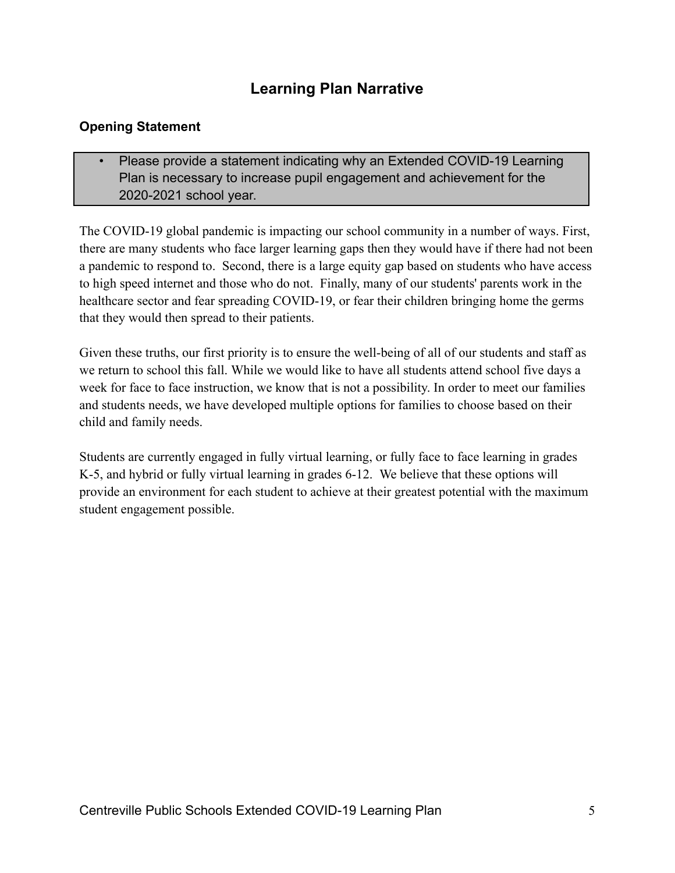## **Learning Plan Narrative**

### **Opening Statement**

• Please provide a statement indicating why an Extended COVID-19 Learning Plan is necessary to increase pupil engagement and achievement for the 2020-2021 school year.

The COVID-19 global pandemic is impacting our school community in a number of ways. First, there are many students who face larger learning gaps then they would have if there had not been a pandemic to respond to. Second, there is a large equity gap based on students who have access to high speed internet and those who do not. Finally, many of our students' parents work in the healthcare sector and fear spreading COVID-19, or fear their children bringing home the germs that they would then spread to their patients.

Given these truths, our first priority is to ensure the well-being of all of our students and staff as we return to school this fall. While we would like to have all students attend school five days a week for face to face instruction, we know that is not a possibility. In order to meet our families and students needs, we have developed multiple options for families to choose based on their child and family needs.

Students are currently engaged in fully virtual learning, or fully face to face learning in grades K-5, and hybrid or fully virtual learning in grades 6-12. We believe that these options will provide an environment for each student to achieve at their greatest potential with the maximum student engagement possible.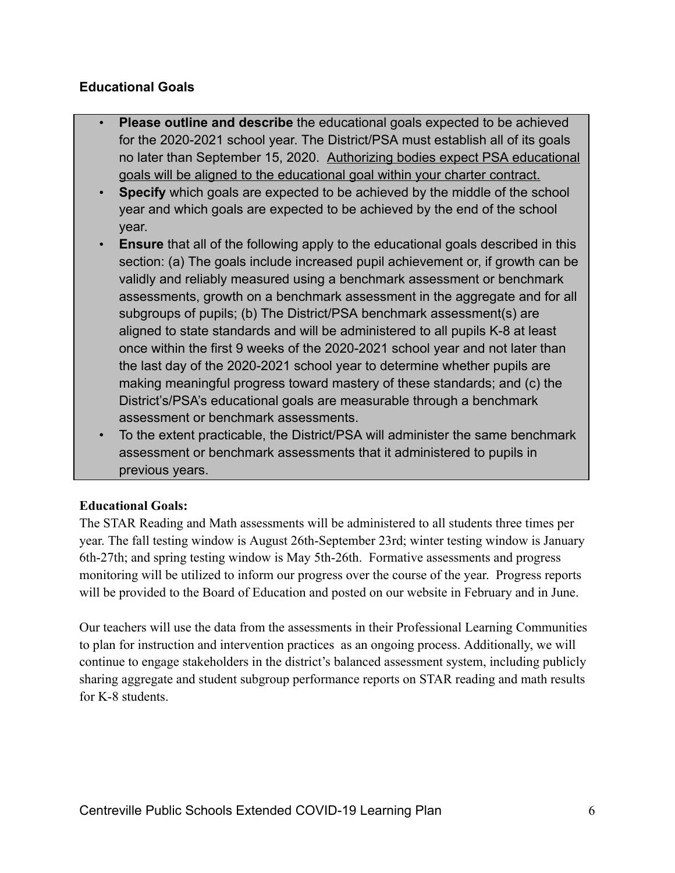#### **Educational Goals**

- **Please outline and describe** the educational goals expected to be achieved for the 2020-2021 school year. The District/PSA must establish all of its goals no later than September 15, 2020. Authorizing bodies expect PSA educational goals will be aligned to the educational goal within your charter contract.
- **Specify** which goals are expected to be achieved by the middle of the school year and which goals are expected to be achieved by the end of the school year.
- **Ensure** that all of the following apply to the educational goals described in this section: (a) The goals include increased pupil achievement or, if growth can be validly and reliably measured using a benchmark assessment or benchmark assessments, growth on a benchmark assessment in the aggregate and for all subgroups of pupils; (b) The District/PSA benchmark assessment(s) are aligned to state standards and will be administered to all pupils K-8 at least once within the first 9 weeks of the 2020-2021 school year and not later than the last day of the 2020-2021 school year to determine whether pupils are making meaningful progress toward mastery of these standards; and (c) the District's/PSA's educational goals are measurable through a benchmark assessment or benchmark assessments.
- To the extent practicable, the District/PSA will administer the same benchmark assessment or benchmark assessments that it administered to pupils in previous years.

#### **Educational Goals:**

The STAR Reading and Math assessments will be administered to all students three times per year. The fall testing window is August 26th-September 23rd; winter testing window is January 6th-27th; and spring testing window is May 5th-26th. Formative assessments and progress monitoring will be utilized to inform our progress over the course of the year. Progress reports will be provided to the Board of Education and posted on our website in February and in June.

Our teachers will use the data from the assessments in their Professional Learning Communities to plan for instruction and intervention practices as an ongoing process. Additionally, we will continue to engage stakeholders in the district's balanced assessment system, including publicly sharing aggregate and student subgroup performance reports on STAR reading and math results for K-8 students.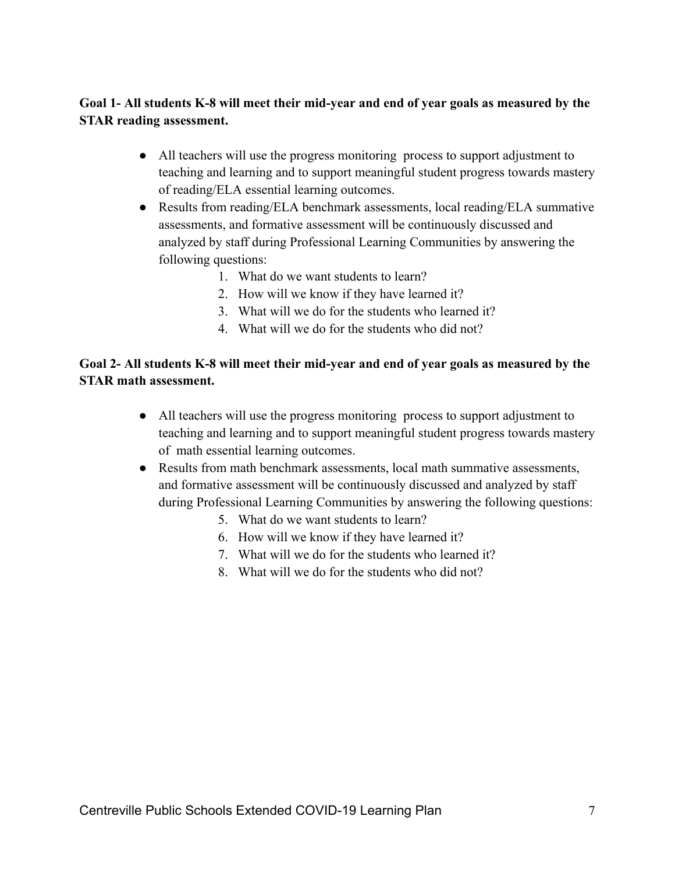#### **Goal 1- All students K-8 will meet their mid-year and end of year goals as measured by the STAR reading assessment.**

- All teachers will use the progress monitoring process to support adjustment to teaching and learning and to support meaningful student progress towards mastery of reading/ELA essential learning outcomes.
- Results from reading/ELA benchmark assessments, local reading/ELA summative assessments, and formative assessment will be continuously discussed and analyzed by staff during Professional Learning Communities by answering the following questions:
	- 1. What do we want students to learn?
	- 2. How will we know if they have learned it?
	- 3. What will we do for the students who learned it?
	- 4. What will we do for the students who did not?

#### **Goal 2- All students K-8 will meet their mid-year and end of year goals as measured by the STAR math assessment.**

- All teachers will use the progress monitoring process to support adjustment to teaching and learning and to support meaningful student progress towards mastery of math essential learning outcomes.
- Results from math benchmark assessments, local math summative assessments, and formative assessment will be continuously discussed and analyzed by staff during Professional Learning Communities by answering the following questions:
	- 5. What do we want students to learn?
	- 6. How will we know if they have learned it?
	- 7. What will we do for the students who learned it?
	- 8. What will we do for the students who did not?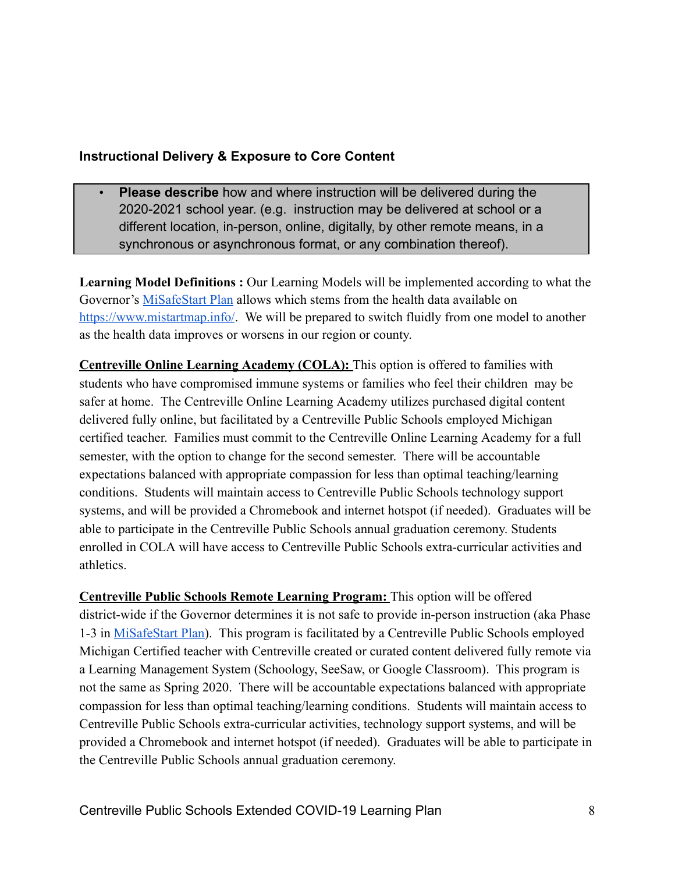#### **Instructional Delivery & Exposure to Core Content**

• **Please describe** how and where instruction will be delivered during the 2020-2021 school year. (e.g. instruction may be delivered at school or a different location, in-person, online, digitally, by other remote means, in a synchronous or asynchronous format, or any combination thereof).

**Learning Model Definitions :** Our Learning Models will be implemented according to what the Governor's [MiSafeStart Plan](https://www.michigan.gov/documents/whitmer/MI_SAFE_START_PLAN_689875_7.pdf) allows which stems from the health data available on <https://www.mistartmap.info/>. We will be prepared to switch fluidly from one model to another as the health data improves or worsens in our region or county.

**Centreville Online Learning Academy (COLA):** This option is offered to families with students who have compromised immune systems or families who feel their children may be safer at home. The Centreville Online Learning Academy utilizes purchased digital content delivered fully online, but facilitated by a Centreville Public Schools employed Michigan certified teacher. Families must commit to the Centreville Online Learning Academy for a full semester, with the option to change for the second semester. There will be accountable expectations balanced with appropriate compassion for less than optimal teaching/learning conditions. Students will maintain access to Centreville Public Schools technology support systems, and will be provided a Chromebook and internet hotspot (if needed). Graduates will be able to participate in the Centreville Public Schools annual graduation ceremony. Students enrolled in COLA will have access to Centreville Public Schools extra-curricular activities and athletics.

**Centreville Public Schools Remote Learning Program:** This option will be offered district-wide if the Governor determines it is not safe to provide in-person instruction (aka Phase 1-3 in MiSafeStart Plan). This program is facilitated by a Centreville Public Schools employed Michigan Certified teacher with Centreville created or curated content delivered fully remote via a Learning Management System (Schoology, SeeSaw, or Google Classroom). This program is not the same as Spring 2020. There will be accountable expectations balanced with appropriate compassion for less than optimal teaching/learning conditions. Students will maintain access to Centreville Public Schools extra-curricular activities, technology support systems, and will be provided a Chromebook and internet hotspot (if needed). Graduates will be able to participate in the Centreville Public Schools annual graduation ceremony.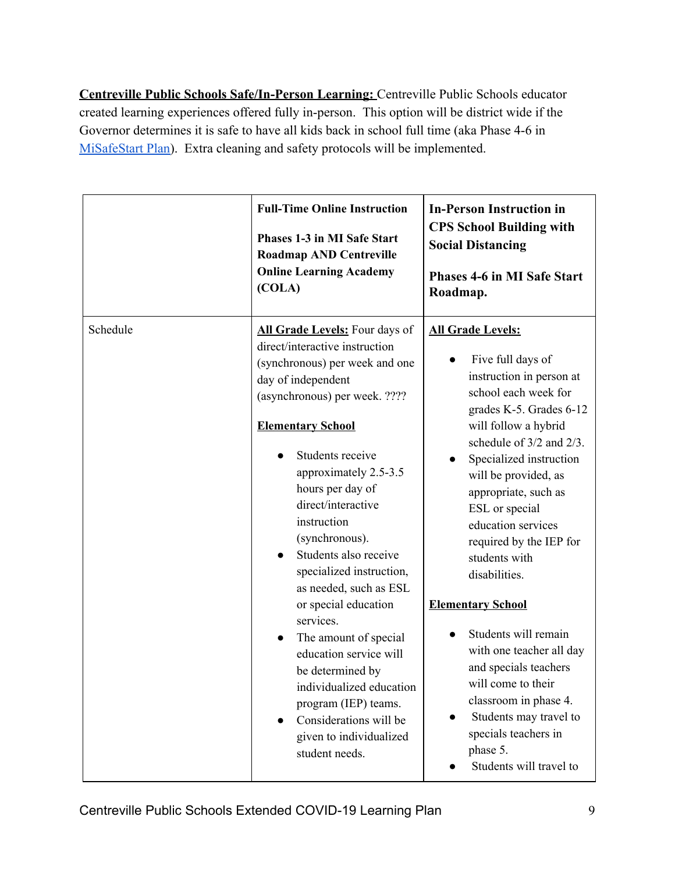**Centreville Public Schools Safe/In-Person Learning:** Centreville Public Schools educator created learning experiences offered fully in-person. This option will be district wide if the Governor determines it is safe to have all kids back in school full time (aka Phase 4-6 in [MiSafeStart Plan](https://www.michigan.gov/documents/whitmer/MI_SAFE_START_PLAN_689875_7.pdf)). Extra cleaning and safety protocols will be implemented.

|          | <b>Full-Time Online Instruction</b><br>Phases 1-3 in MI Safe Start<br><b>Roadmap AND Centreville</b><br><b>Online Learning Academy</b><br>(COLA)                                                                                                                                                                                                                                             | <b>In-Person Instruction in</b><br><b>CPS School Building with</b><br><b>Social Distancing</b><br><b>Phases 4-6 in MI Safe Start</b><br>Roadmap.                                                                                                                                                                                                                              |
|----------|----------------------------------------------------------------------------------------------------------------------------------------------------------------------------------------------------------------------------------------------------------------------------------------------------------------------------------------------------------------------------------------------|-------------------------------------------------------------------------------------------------------------------------------------------------------------------------------------------------------------------------------------------------------------------------------------------------------------------------------------------------------------------------------|
| Schedule | All Grade Levels: Four days of<br>direct/interactive instruction<br>(synchronous) per week and one<br>day of independent<br>(asynchronous) per week. ????<br><b>Elementary School</b><br>Students receive<br>approximately 2.5-3.5<br>hours per day of<br>direct/interactive<br>instruction<br>(synchronous).<br>Students also receive<br>specialized instruction,<br>as needed, such as ESL | <b>All Grade Levels:</b><br>Five full days of<br>instruction in person at<br>school each week for<br>grades K-5. Grades 6-12<br>will follow a hybrid<br>schedule of 3/2 and 2/3.<br>Specialized instruction<br>$\bullet$<br>will be provided, as<br>appropriate, such as<br>ESL or special<br>education services<br>required by the IEP for<br>students with<br>disabilities. |
|          | or special education<br>services.<br>The amount of special<br>$\bullet$<br>education service will<br>be determined by<br>individualized education<br>program (IEP) teams.<br>Considerations will be<br>given to individualized<br>student needs.                                                                                                                                             | <b>Elementary School</b><br>Students will remain<br>with one teacher all day<br>and specials teachers<br>will come to their<br>classroom in phase 4.<br>Students may travel to<br>$\bullet$<br>specials teachers in<br>phase 5.<br>Students will travel to                                                                                                                    |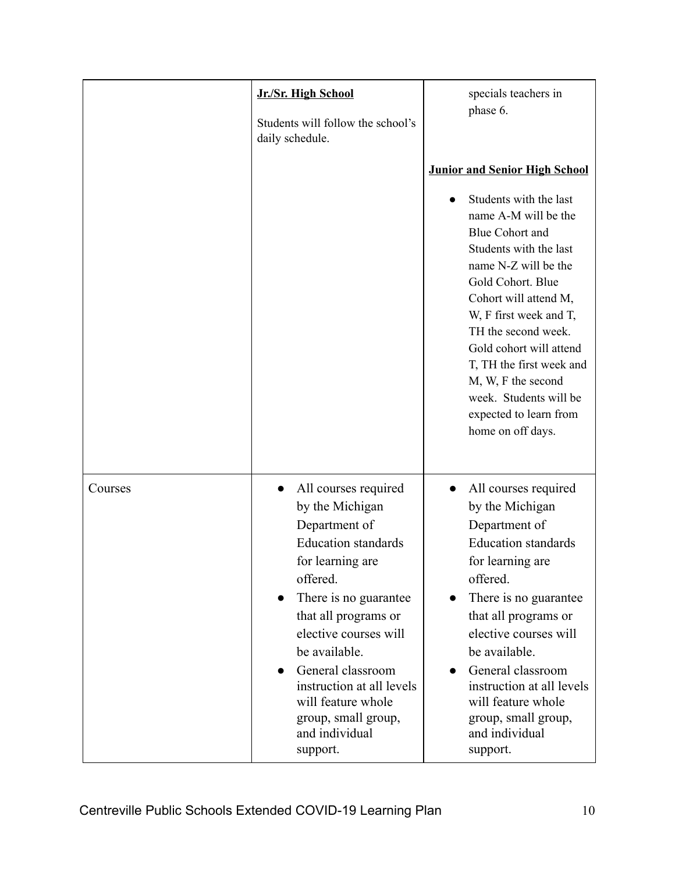|         | Jr./Sr. High School<br>Students will follow the school's<br>daily schedule.                                                                                                                                                                                                                                                                    | specials teachers in<br>phase 6.<br><b>Junior and Senior High School</b><br>Students with the last<br>name A-M will be the<br><b>Blue Cohort and</b><br>Students with the last<br>name N-Z will be the<br>Gold Cohort. Blue<br>Cohort will attend M,<br>W, F first week and T,<br>TH the second week.<br>Gold cohort will attend<br>T, TH the first week and<br>M, W, F the second<br>week. Students will be<br>expected to learn from<br>home on off days. |
|---------|------------------------------------------------------------------------------------------------------------------------------------------------------------------------------------------------------------------------------------------------------------------------------------------------------------------------------------------------|-------------------------------------------------------------------------------------------------------------------------------------------------------------------------------------------------------------------------------------------------------------------------------------------------------------------------------------------------------------------------------------------------------------------------------------------------------------|
| Courses | All courses required<br>by the Michigan<br>Department of<br><b>Education</b> standards<br>for learning are<br>offered.<br>There is no guarantee<br>that all programs or<br>elective courses will<br>be available.<br>General classroom<br>instruction at all levels<br>will feature whole<br>group, small group,<br>and individual<br>support. | All courses required<br>by the Michigan<br>Department of<br><b>Education</b> standards<br>for learning are<br>offered.<br>There is no guarantee<br>that all programs or<br>elective courses will<br>be available.<br>General classroom<br>instruction at all levels<br>will feature whole<br>group, small group,<br>and individual<br>support.                                                                                                              |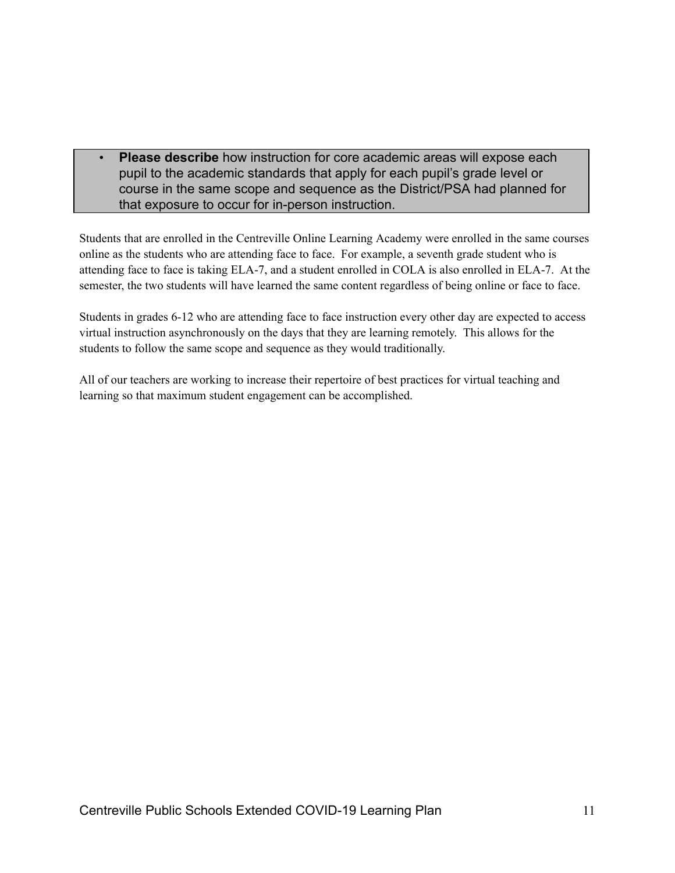• **Please describe** how instruction for core academic areas will expose each pupil to the academic standards that apply for each pupil's grade level or course in the same scope and sequence as the District/PSA had planned for that exposure to occur for in-person instruction.

Students that are enrolled in the Centreville Online Learning Academy were enrolled in the same courses online as the students who are attending face to face. For example, a seventh grade student who is attending face to face is taking ELA-7, and a student enrolled in COLA is also enrolled in ELA-7. At the semester, the two students will have learned the same content regardless of being online or face to face.

Students in grades 6-12 who are attending face to face instruction every other day are expected to access virtual instruction asynchronously on the days that they are learning remotely. This allows for the students to follow the same scope and sequence as they would traditionally.

All of our teachers are working to increase their repertoire of best practices for virtual teaching and learning so that maximum student engagement can be accomplished.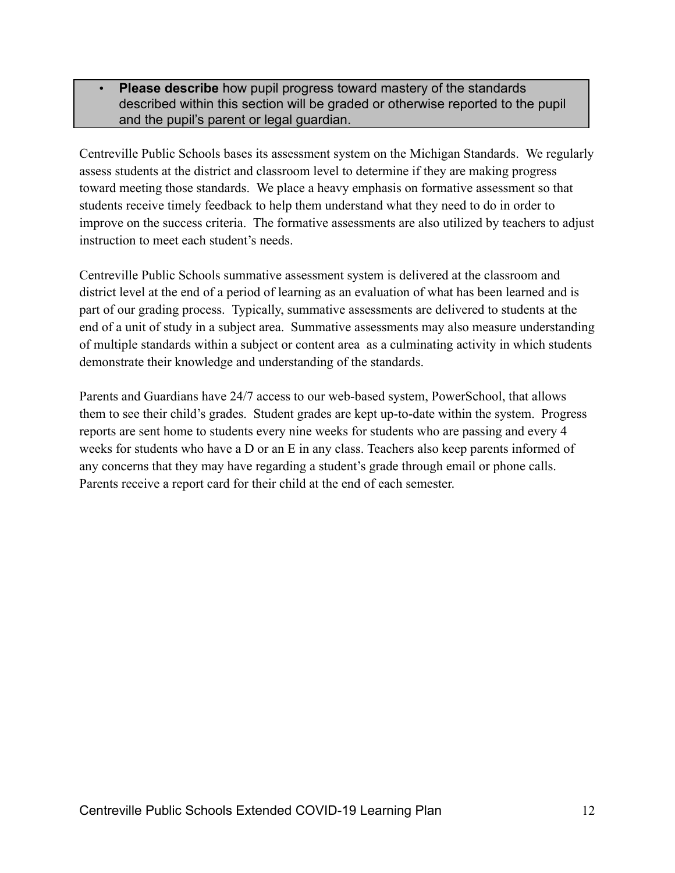• **Please describe** how pupil progress toward mastery of the standards described within this section will be graded or otherwise reported to the pupil and the pupil's parent or legal guardian.

Centreville Public Schools bases its assessment system on the Michigan Standards. We regularly assess students at the district and classroom level to determine if they are making progress toward meeting those standards. We place a heavy emphasis on formative assessment so that students receive timely feedback to help them understand what they need to do in order to improve on the success criteria. The formative assessments are also utilized by teachers to adjust instruction to meet each student's needs.

Centreville Public Schools summative assessment system is delivered at the classroom and district level at the end of a period of learning as an evaluation of what has been learned and is part of our grading process. Typically, summative assessments are delivered to students at the end of a unit of study in a subject area. Summative assessments may also measure understanding of multiple standards within a subject or content area as a culminating activity in which students demonstrate their knowledge and understanding of the standards.

Parents and Guardians have 24/7 access to our web-based system, PowerSchool, that allows them to see their child's grades. Student grades are kept up-to-date within the system. Progress reports are sent home to students every nine weeks for students who are passing and every 4 weeks for students who have a D or an E in any class. Teachers also keep parents informed of any concerns that they may have regarding a student's grade through email or phone calls. Parents receive a report card for their child at the end of each semester.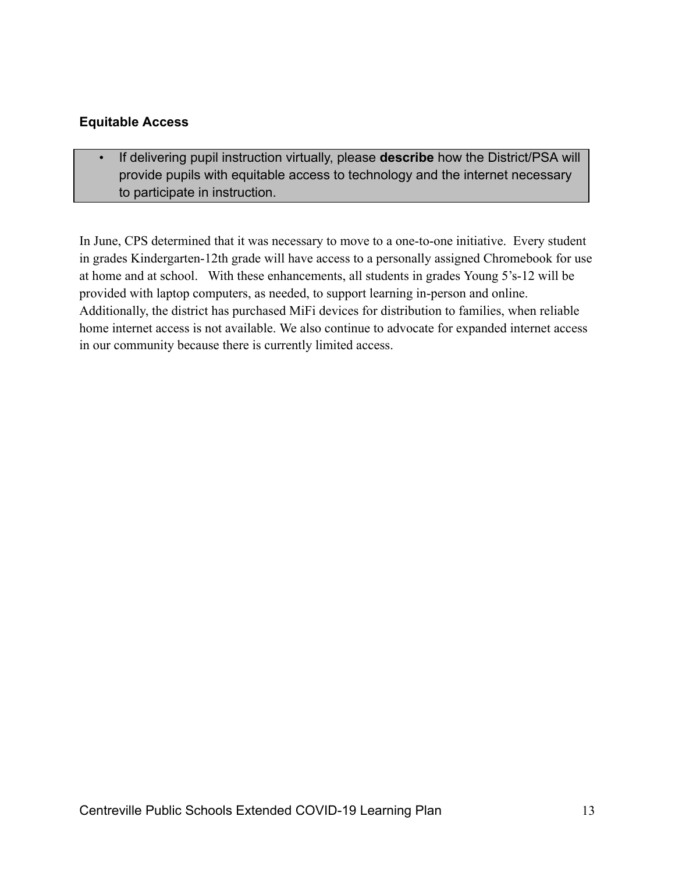#### **Equitable Access**

• If delivering pupil instruction virtually, please **describe** how the District/PSA will provide pupils with equitable access to technology and the internet necessary to participate in instruction.

In June, CPS determined that it was necessary to move to a one-to-one initiative. Every student in grades Kindergarten-12th grade will have access to a personally assigned Chromebook for use at home and at school. With these enhancements, all students in grades Young 5's-12 will be provided with laptop computers, as needed, to support learning in-person and online. Additionally, the district has purchased MiFi devices for distribution to families, when reliable home internet access is not available. We also continue to advocate for expanded internet access in our community because there is currently limited access.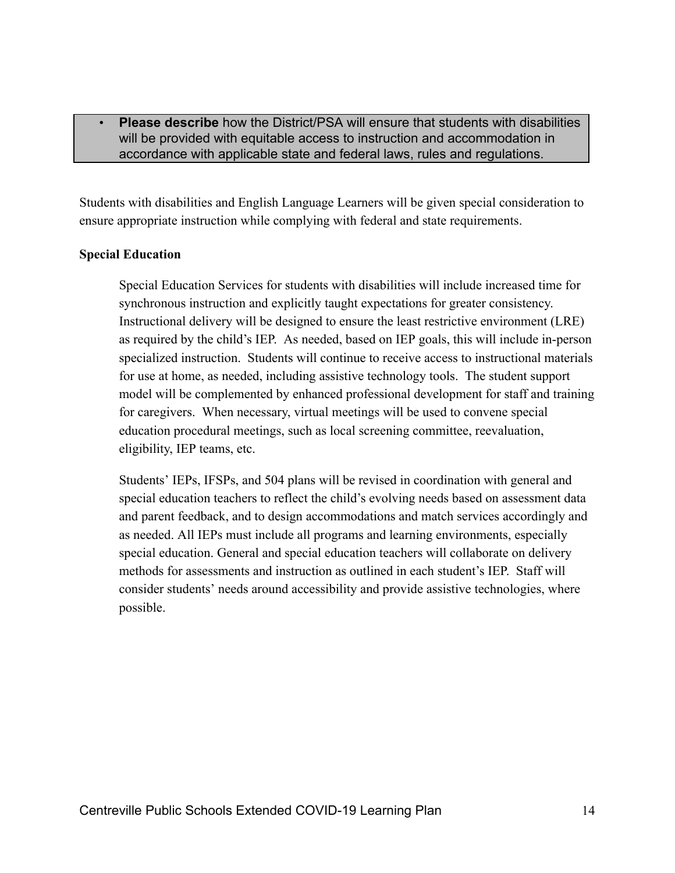#### **Please describe** how the District/PSA will ensure that students with disabilities will be provided with equitable access to instruction and accommodation in accordance with applicable state and federal laws, rules and regulations.

Students with disabilities and English Language Learners will be given special consideration to ensure appropriate instruction while complying with federal and state requirements.

#### **Special Education**

Special Education Services for students with disabilities will include increased time for synchronous instruction and explicitly taught expectations for greater consistency. Instructional delivery will be designed to ensure the least restrictive environment (LRE) as required by the child's IEP. As needed, based on IEP goals, this will include in-person specialized instruction. Students will continue to receive access to instructional materials for use at home, as needed, including assistive technology tools. The student support model will be complemented by enhanced professional development for staff and training for caregivers. When necessary, virtual meetings will be used to convene special education procedural meetings, such as local screening committee, reevaluation, eligibility, IEP teams, etc.

Students' IEPs, IFSPs, and 504 plans will be revised in coordination with general and special education teachers to reflect the child's evolving needs based on assessment data and parent feedback, and to design accommodations and match services accordingly and as needed. All IEPs must include all programs and learning environments, especially special education. General and special education teachers will collaborate on delivery methods for assessments and instruction as outlined in each student's IEP. Staff will consider students' needs around accessibility and provide assistive technologies, where possible.